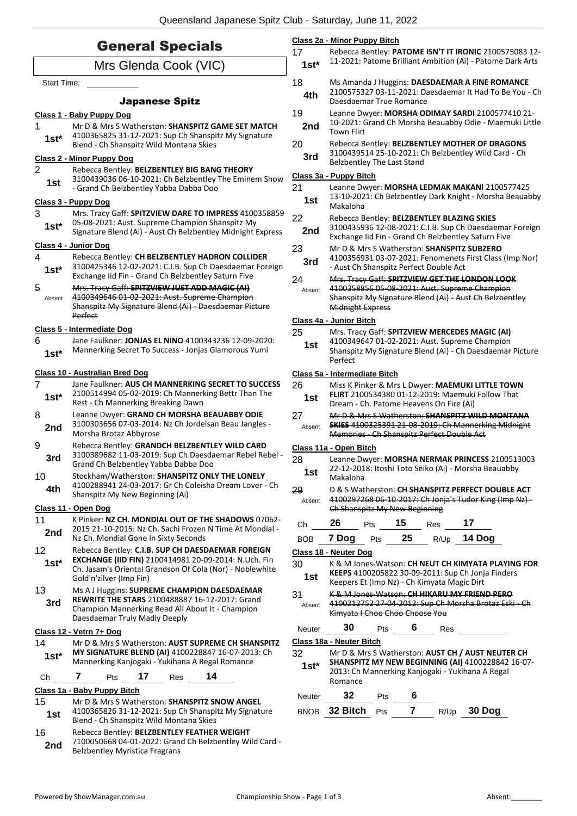| <b>General Specials</b>  |                                                                                                                                                 | Class 2a - Minor Puppy Bitch<br>17<br>Rebecca Bentley: PATOME ISN'T IT IRONIC 2100575083 12- |                                                                                                                                                            |
|--------------------------|-------------------------------------------------------------------------------------------------------------------------------------------------|----------------------------------------------------------------------------------------------|------------------------------------------------------------------------------------------------------------------------------------------------------------|
| Mrs Glenda Cook (VIC)    |                                                                                                                                                 | $1st*$                                                                                       | 11-2021: Patome Brilliant Ambition (Ai) - Patome Dark Arts                                                                                                 |
|                          | Start Time:                                                                                                                                     |                                                                                              | Ms Amanda J Huggins: DAESDAEMAR A FINE ROMANCE<br>2100575327 03-11-2021: Daesdaemar It Had To Be You - Ch                                                  |
| <b>Japanese Spitz</b>    |                                                                                                                                                 | 4th                                                                                          | Daesdaemar True Romance                                                                                                                                    |
|                          | Class 1 - Baby Puppy Dog                                                                                                                        | 19                                                                                           | Leanne Dwyer: MORSHA ODIMAY SARDI 2100577410 21-                                                                                                           |
| 1                        | Mr D & Mrs S Watherston: SHANSPITZ GAME SET MATCH                                                                                               | 2nd                                                                                          | 10-2021: Grand Ch Morsha Beauabby Odie - Maemuki Little<br><b>Town Flirt</b>                                                                               |
| $1st*$                   | 4100365825 31-12-2021: Sup Ch Shanspitz My Signature<br>Blend - Ch Shanspitz Wild Montana Skies                                                 | 20                                                                                           | Rebecca Bentley: BELZBENTLEY MOTHER OF DRAGONS                                                                                                             |
|                          | Class 2 - Minor Puppy Dog                                                                                                                       | 3rd                                                                                          | 3100439514 25-10-2021: Ch Belzbentley Wild Card - Ch<br><b>Belzbentley The Last Stand</b>                                                                  |
| $\overline{2}$           | Rebecca Bentley: BELZBENTLEY BIG BANG THEORY<br>3100439036 06-10-2021: Ch Belzbentley The Eminem Show                                           |                                                                                              | Class 3a - Puppy Bitch                                                                                                                                     |
| 1st                      | - Grand Ch Belzbentley Yabba Dabba Doo                                                                                                          | 21                                                                                           | Leanne Dwyer: MORSHA LEDMAK MAKANI 2100577425                                                                                                              |
|                          | Class 3 - Puppy Dog                                                                                                                             | 1st                                                                                          | 13-10-2021: Ch Belzbentley Dark Knight - Morsha Beauabby<br>Makaloha                                                                                       |
| 3                        | Mrs. Tracy Gaff: SPITZVIEW DARE TO IMPRESS 4100358859<br>05-08-2021: Aust. Supreme Champion Shanspitz My                                        | 22                                                                                           | Rebecca Bentley: BELZBENTLEY BLAZING SKIES                                                                                                                 |
| $1st*$                   | Signature Blend (Ai) - Aust Ch Belzbentley Midnight Express                                                                                     | 2nd                                                                                          | 3100435936 12-08-2021: C.I.B. Sup Ch Daesdaemar Foreign<br>Exchange Iid Fin - Grand Ch Belzbentley Saturn Five                                             |
|                          | Class 4 - Junior Dog                                                                                                                            | 23                                                                                           | Mr D & Mrs S Watherston: SHANSPITZ SUBZERO                                                                                                                 |
| 4                        | Rebecca Bentley: CH BELZBENTLEY HADRON COLLIDER<br>3100425346 12-02-2021: C.I.B. Sup Ch Daesdaemar Foreign                                      | 3rd                                                                                          | 4100356931 03-07-2021: Fenomenets First Class (Imp Nor)<br>- Aust Ch Shanspitz Perfect Double Act                                                          |
| $1st*$                   | Exchange Iid Fin - Grand Ch Belzbentley Saturn Five                                                                                             | 24                                                                                           | Mrs. Tracy Gaff: SPITZVIEW GET THE LONDON LOOK                                                                                                             |
| 5<br>Absent              | Mrs. Tracy Gaff: SPITZVIEW JUST ADD MAGIC (AI)<br>4100349646 01-02-2021: Aust. Supreme Champion                                                 | Absent                                                                                       | 4100358856 05-08-2021: Aust. Supreme Champion<br>Shanspitz My Signature Blend (Ai) - Aust Ch Belzbentley                                                   |
|                          | Shanspitz My Signature Blend (Ai) - Daesdaemar Picture                                                                                          |                                                                                              | <b>Midnight Express</b>                                                                                                                                    |
|                          | Perfect                                                                                                                                         |                                                                                              | Class 4a - Junior Bitch                                                                                                                                    |
| 6                        | Class 5 - Intermediate Dog<br>Jane Faulkner: JONJAS EL NINO 4100343236 12-09-2020:                                                              | 25                                                                                           | Mrs. Tracy Gaff: SPITZVIEW MERCEDES MAGIC (AI)<br>4100349647 01-02-2021: Aust. Supreme Champion                                                            |
| $1st*$                   | Mannerking Secret To Success - Jonjas Glamorous Yumi                                                                                            | 1st                                                                                          | Shanspitz My Signature Blend (Ai) - Ch Daesdaemar Picture<br>Perfect                                                                                       |
|                          | Class 10 - Australian Bred Dog                                                                                                                  |                                                                                              | Class 5a - Intermediate Bitch                                                                                                                              |
| $\overline{7}$<br>$1st*$ | Jane Faulkner: AUS CH MANNERKING SECRET TO SUCCESS<br>2100514994 05-02-2019: Ch Mannerking Bettr Than The<br>Rest - Ch Mannerking Breaking Dawn | 26<br>1st                                                                                    | Miss K Pinker & Mrs L Dwyer: MAEMUKI LITTLE TOWN<br>FLIRT 2100534380 01-12-2019: Maemuki Follow That<br>Dream - Ch. Patome Heavens On Fire (Ai)            |
| 8                        | Leanne Dwyer: GRAND CH MORSHA BEAUABBY ODIE                                                                                                     | 27                                                                                           | Mr D & Mrs S Watherston: SHANSPITZ WILD MONTANA                                                                                                            |
| 2nd                      | 3100303656 07-03-2014: Nz Ch Jordelsan Beau Jangles -<br>Morsha Brotaz Abbyrose                                                                 | Absent                                                                                       | <b>SKIES 4100325391 21 08 2019: Ch Mannerking Midnight</b><br>Memories - Ch Shanspitz Perfect Double Act                                                   |
| 9                        | Rebecca Bentley: GRANDCH BELZBENTLEY WILD CARD                                                                                                  |                                                                                              | Class 11a - Open Bitch                                                                                                                                     |
| 3rd                      | 3100389682 11-03-2019: Sup Ch Daesdaemar Rebel Rebel -<br>Grand Ch Belzbentley Yabba Dabba Doo                                                  | 28                                                                                           | Leanne Dwyer: MORSHA NERMAK PRINCESS 2100513003                                                                                                            |
| 10                       | Stockham/Watherston: SHANSPITZ ONLY THE LONELY                                                                                                  | 1st                                                                                          | 22-12-2018: Itoshi Toto Seiko (Ai) - Morsha Beauabby<br>Makaloha                                                                                           |
| 4th                      | 4100288941 24-03-2017: Gr Ch Coleisha Dream Lover - Ch<br>Shanspitz My New Beginning (Ai)                                                       | 29                                                                                           | D & S Watherston: CH SHANSPITZ PERFECT DOUBLE ACT                                                                                                          |
|                          | Class 11 - Open Dog                                                                                                                             | Absent                                                                                       | 4100297268 06-10-2017: Ch Jonja's Tudor King (Imp Nz) -<br>Ch Shanspitz My New Beginning                                                                   |
| 11                       | K Pinker: NZ CH. MONDIAL OUT OF THE SHADOWS 07062-                                                                                              | Ch                                                                                           | 26<br>17<br>15<br>Pts<br><b>Res</b>                                                                                                                        |
| 2nd                      | 2015 21-10-2015: Nz Ch. Sachi Frozen N Time At Mondial -<br>Nz Ch. Mondial Gone In Sixty Seconds                                                | <b>BOB</b>                                                                                   | 25<br>7 Dog<br>14 Dog<br>Pts<br>R/Up                                                                                                                       |
| 12                       | Rebecca Bentley: C.I.B. SUP CH DAESDAEMAR FOREIGN                                                                                               |                                                                                              | Class 18 - Neuter Dog                                                                                                                                      |
| $1st*$                   | EXCHANGE (IID FIN) 2100414981 20-09-2014: N.Uch. Fin<br>Ch. Jasam's Oriental Grandson Of Cola (Nor) - Noblewhite                                | 30                                                                                           | K & M Jones-Watson: CH NEUT CH KIMYATA PLAYING FOR<br>KEEPS 4100205822 30-09-2011: Sup Ch Jonja Finders                                                    |
|                          | Gold'n'zilver (Imp Fin)                                                                                                                         | 1st                                                                                          | Keepers Et (Imp Nz) - Ch Kimyata Magic Dirt                                                                                                                |
| 13<br>3rd                | Ms A J Huggins: SUPREME CHAMPION DAESDAEMAR<br>REWRITE THE STARS 2100488887 16-12-2017: Grand                                                   | 34                                                                                           | K & M Jones Watson: CH HIKARU MY FRIEND PERO                                                                                                               |
|                          | Champion Mannerking Read All About It - Champion                                                                                                | Absent                                                                                       | 4100212752 27-04-2012: Sup Ch Morsha Brotaz Eski - Ch<br>Kimyata I Choo Choo Choose You                                                                    |
|                          | Daesdaemar Truly Madly Deeply<br>Class 12 - Vetrn 7+ Dog                                                                                        | Neuter                                                                                       | 30<br>6<br>Pts<br>Res                                                                                                                                      |
| 14                       | Mr D & Mrs S Watherston: AUST SUPREME CH SHANSPITZ                                                                                              |                                                                                              | Class 18a - Neuter Bitch                                                                                                                                   |
| $1st*$                   | MY SIGNATURE BLEND (AI) 4100228847 16-07-2013: Ch<br>Mannerking Kanjogaki - Yukihana A Regal Romance                                            | 32<br>$1st*$                                                                                 | Mr D & Mrs S Watherston: AUST CH / AUST NEUTER CH<br>SHANSPITZ MY NEW BEGINNING (AI) 4100228842 16-07-<br>2013: Ch Mannerking Kanjogaki - Yukihana A Regal |
| Ch                       | 17<br>14<br>7<br><b>Pts</b><br>Res                                                                                                              |                                                                                              | Romance                                                                                                                                                    |
| 15                       | Class 1a - Baby Puppy Bitch<br>Mr D & Mrs S Watherston: <b>SHANSPITZ SNOW ANGEL</b>                                                             | Neuter                                                                                       | 32<br>6<br>Pts                                                                                                                                             |
| 1st                      | 4100365826 31-12-2021: Sup Ch Shanspitz My Signature<br>Blend - Ch Shanspitz Wild Montana Skies                                                 |                                                                                              | $\overline{7}$<br>BNOB 32 Bitch Pts<br>R/Up 30 Dog                                                                                                         |
| 16<br>2nd                | Rebecca Bentley: BELZBENTLEY FEATHER WEIGHT<br>7100050668 04-01-2022: Grand Ch Belzbentley Wild Card -<br><b>Belzbentley Myristica Fragrans</b> |                                                                                              |                                                                                                                                                            |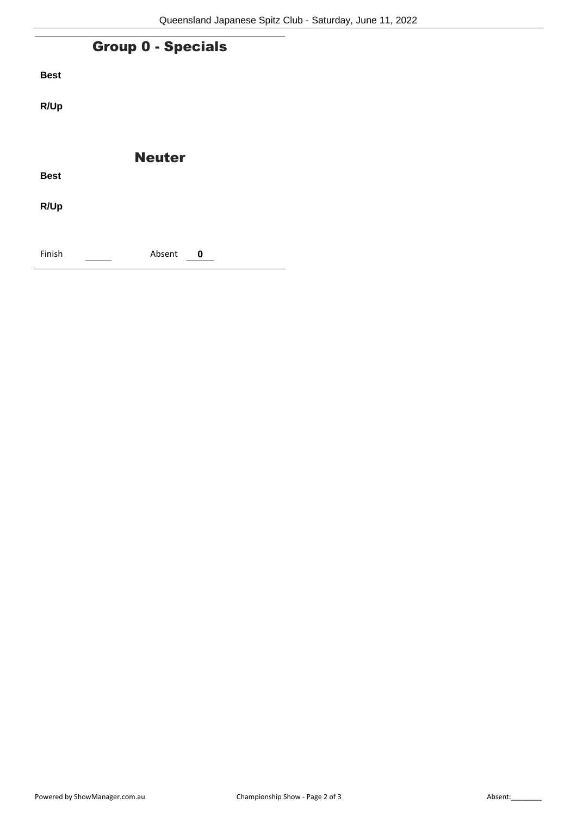| <b>Group 0 - Specials</b> |               |  |  |
|---------------------------|---------------|--|--|
| <b>Best</b>               |               |  |  |
| R/Up                      |               |  |  |
|                           |               |  |  |
|                           | <b>Neuter</b> |  |  |
| <b>Best</b>               |               |  |  |
| R/Up                      |               |  |  |
|                           |               |  |  |
| Finish                    | Absent<br>0   |  |  |